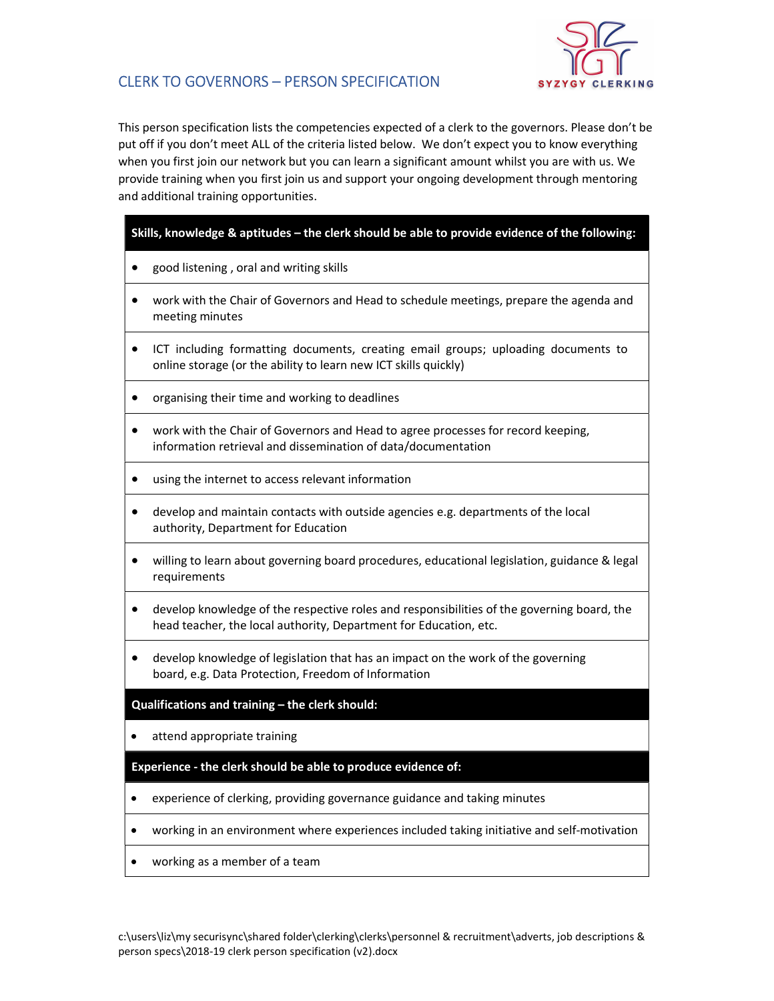

## CLERK TO GOVERNORS – PERSON SPECIFICATION

This person specification lists the competencies expected of a clerk to the governors. Please don't be put off if you don't meet ALL of the criteria listed below. We don't expect you to know everything when you first join our network but you can learn a significant amount whilst you are with us. We provide training when you first join us and support your ongoing development through mentoring and additional training opportunities.

### Skills, knowledge & aptitudes – the clerk should be able to provide evidence of the following:

- good listening, oral and writing skills
- work with the Chair of Governors and Head to schedule meetings, prepare the agenda and meeting minutes
- ICT including formatting documents, creating email groups; uploading documents to online storage (or the ability to learn new ICT skills quickly)
- organising their time and working to deadlines
- work with the Chair of Governors and Head to agree processes for record keeping, information retrieval and dissemination of data/documentation
- using the internet to access relevant information
- develop and maintain contacts with outside agencies e.g. departments of the local authority, Department for Education
- willing to learn about governing board procedures, educational legislation, guidance & legal requirements
- develop knowledge of the respective roles and responsibilities of the governing board, the head teacher, the local authority, Department for Education, etc.
- develop knowledge of legislation that has an impact on the work of the governing board, e.g. Data Protection, Freedom of Information

#### Qualifications and training – the clerk should:

• attend appropriate training

#### Experience - the clerk should be able to produce evidence of:

- experience of clerking, providing governance guidance and taking minutes
- working in an environment where experiences included taking initiative and self-motivation
- working as a member of a team